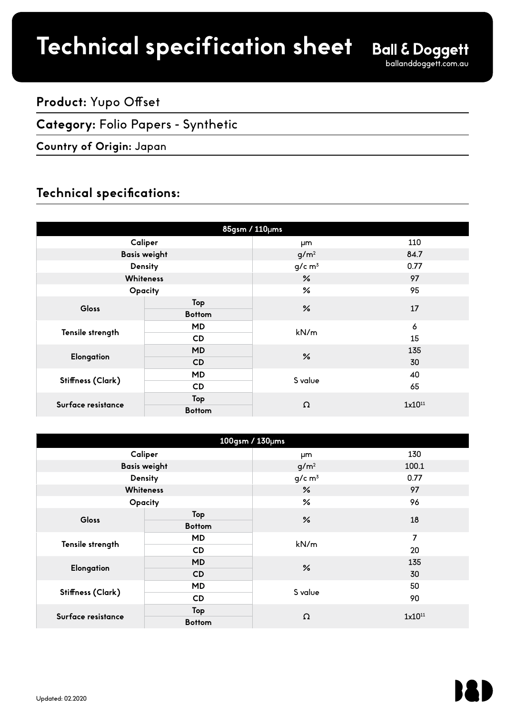# **Product spec sheet Technical specification sheet**

## **Product:** Yupo Offset

### **Category:** Folio Papers - Synthetic

#### **Country of Origin:** Japan

## **Technical specifications:**

| 85gsm / 110µms      |               |                      |                    |  |
|---------------------|---------------|----------------------|--------------------|--|
| Caliper             |               | μm                   | 110                |  |
| <b>Basis weight</b> |               | g/m <sup>2</sup>     | 84.7               |  |
| Density             |               | $g/c$ m <sup>3</sup> | 0.77               |  |
| <b>Whiteness</b>    |               | $\frac{9}{6}$        | 97                 |  |
| Opacity             |               | $\frac{6}{5}$        | 95                 |  |
| Gloss               | Top           | $\frac{9}{6}$        | 17                 |  |
|                     | <b>Bottom</b> |                      |                    |  |
|                     | MD            | kN/m                 | $\pmb{\delta}$     |  |
| Tensile strength    | <b>CD</b>     |                      | 15                 |  |
|                     | MD            | $\frac{9}{6}$        | 135                |  |
| Elongation          | CD            |                      | 30                 |  |
| Stiffness (Clark)   | <b>MD</b>     | S value              | 40                 |  |
|                     | <b>CD</b>     |                      | 65                 |  |
| Surface resistance  | Top           | Ω                    | 1x10 <sup>11</sup> |  |
|                     | <b>Bottom</b> |                      |                    |  |

| 100gsm / 130µms    |                     |                      |             |
|--------------------|---------------------|----------------------|-------------|
|                    | Caliper             | μm                   | 130         |
|                    | <b>Basis weight</b> | g/m <sup>2</sup>     | 100.1       |
|                    | Density             | $g/c$ m <sup>3</sup> | 0.77        |
|                    | <b>Whiteness</b>    | $\frac{9}{6}$        | 97          |
| Opacity            |                     | $\frac{9}{6}$        | 96          |
| Gloss              | Top                 | $\frac{9}{6}$        | 18          |
|                    | <b>Bottom</b>       |                      |             |
| Tensile strength   | <b>MD</b>           | kN/m                 | 7           |
|                    | <b>CD</b>           |                      | 20          |
| Elongation         | <b>MD</b>           | $\frac{6}{5}$        | 135         |
|                    | CD                  |                      | 30          |
| Stiffness (Clark)  | <b>MD</b>           | S value              | 50          |
|                    | <b>CD</b>           |                      | 90          |
| Surface resistance | Top                 | Ω                    | $1x10^{11}$ |
|                    | <b>Bottom</b>       |                      |             |